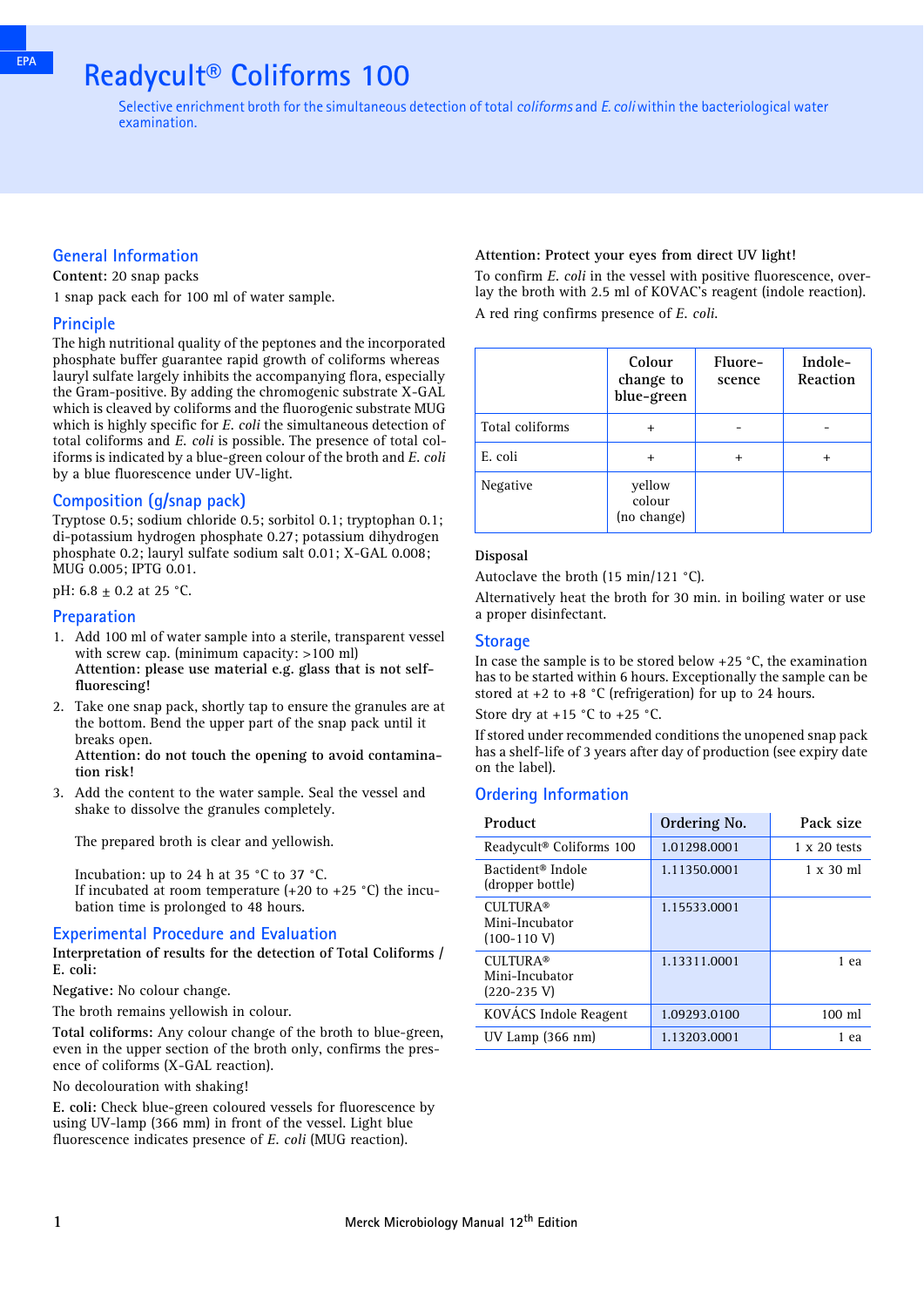## **Readycult® Coliforms 100**

Selective enrichment broth for the simultaneous detection of total *coliforms* and *E. coli* within the bacteriological water examination.

#### **General Information**

**Content:** 20 snap packs

1 snap pack each for 100 ml of water sample.

#### **Principle**

The high nutritional quality of the peptones and the incorporated phosphate buffer guarantee rapid growth of coliforms whereas lauryl sulfate largely inhibits the accompanying flora, especially the Gram-positive. By adding the chromogenic substrate X-GAL which is cleaved by coliforms and the fluorogenic substrate MUG which is highly specific for *E. coli* the simultaneous detection of total coliforms and *E. coli* is possible. The presence of total coliforms is indicated by a blue-green colour of the broth and *E. coli* by a blue fluorescence under UV-light.

#### **Composition (g/snap pack)**

Tryptose 0.5; sodium chloride 0.5; sorbitol 0.1; tryptophan 0.1; di-potassium hydrogen phosphate 0.27; potassium dihydrogen phosphate 0.2; lauryl sulfate sodium salt 0.01; X-GAL 0.008; MUG 0.005; IPTG 0.01.

pH:  $6.8 \pm 0.2$  at 25 °C.

#### **Preparation**

- 1. Add 100 ml of water sample into a sterile, transparent vessel with screw cap. (minimum capacity: >100 ml) **Attention: please use material e.g. glass that is not selffluorescing!**
- 2. Take one snap pack, shortly tap to ensure the granules are at the bottom. Bend the upper part of the snap pack until it breaks open. **Attention: do not touch the opening to avoid contamination risk!**
- 3. Add the content to the water sample. Seal the vessel and shake to dissolve the granules completely.

The prepared broth is clear and yellowish.

Incubation: up to 24 h at 35 °C to 37 °C. If incubated at room temperature  $(+20 \text{ to } +25 \text{ °C})$  the incubation time is prolonged to 48 hours.

#### **Experimental Procedure and Evaluation**

**Interpretation of results for the detection of Total Coliforms / E. coli:**

**Negative:** No colour change.

The broth remains yellowish in colour.

**Total coliforms:** Any colour change of the broth to blue-green, even in the upper section of the broth only, confirms the presence of coliforms (X-GAL reaction).

No decolouration with shaking!

**E. coli:** Check blue-green coloured vessels for fluorescence by using UV-lamp (366 mm) in front of the vessel. Light blue fluorescence indicates presence of *E. coli* (MUG reaction).

#### **Attention: Protect your eyes from direct UV light!**

To confirm *E. coli* in the vessel with positive fluorescence, overlay the broth with 2.5 ml of KOVAC's reagent (indole reaction). A red ring confirms presence of *E. coli*.

|                 | Colour<br>change to<br>blue-green | Fluore-<br>scence | Indole-<br>Reaction |
|-----------------|-----------------------------------|-------------------|---------------------|
| Total coliforms | +                                 |                   |                     |
| E. coli         | $\ddot{}$                         | $\,{}^+$          | +                   |
| Negative        | yellow<br>colour<br>(no change)   |                   |                     |

#### **Disposal**

Autoclave the broth (15 min/121 °C).

Alternatively heat the broth for 30 min. in boiling water or use a proper disinfectant.

#### **Storage**

In case the sample is to be stored below +25 °C, the examination has to be started within 6 hours. Exceptionally the sample can be stored at  $+2$  to  $+8$  °C (refrigeration) for up to 24 hours.

Store dry at  $+15$  °C to  $+25$  °C.

If stored under recommended conditions the unopened snap pack has a shelf-life of 3 years after day of production (see expiry date on the label).

#### **Ordering Information**

| Product                                              | Ordering No. | Pack size           |
|------------------------------------------------------|--------------|---------------------|
| Readycult® Coliforms 100                             | 1.01298.0001 | $1 \times 20$ tests |
| Bactident <sup>®</sup> Indole<br>(dropper bottle)    | 1.11350.0001 | $1 \times 30$ ml    |
| <b>CULTURA®</b><br>Mini-Incubator<br>$(100-110 V)$   | 1.15533.0001 |                     |
| <b>CULTURA®</b><br>Mini-Incubator<br>$(220 - 235 V)$ | 1.13311.0001 | 1 ea                |
| KOVÁCS Indole Reagent                                | 1.09293.0100 | $100 \mathrm{ml}$   |
| $UV$ Lamp (366 nm)                                   | 1.13203.0001 | 1 ea                |